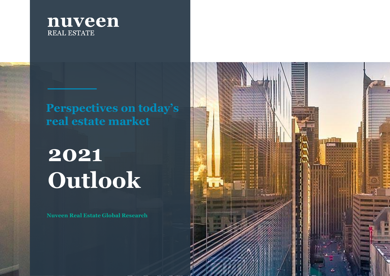

### **Perspectives on today's real estate market**

# **2021 Outlook**

**Nuveen Real Estate Global Research**

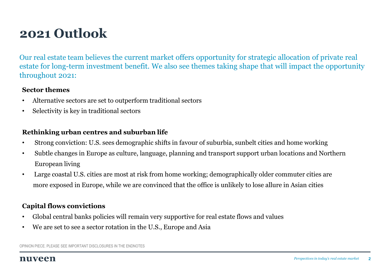### **2021 Outlook**

Our real estate team believes the current market offers opportunity for strategic allocation of private real estate for long-term investment benefit. We also see themes taking shape that will impact the opportunity throughout 2021:

#### **Sector themes**

- Alternative sectors are set to outperform traditional sectors
- Selectivity is key in traditional sectors

#### **Rethinking urban centres and suburban life**

- Strong conviction: U.S. sees demographic shifts in favour of suburbia, sunbelt cities and home working
- Subtle changes in Europe as culture, language, planning and transport support urban locations and Northern European living
- Large coastal U.S. cities are most at risk from home working; demographically older commuter cities are more exposed in Europe, while we are convinced that the office is unlikely to lose allure in Asian cities

#### **Capital flows convictions**

- Global central banks policies will remain very supportive for real estate flows and values
- We are set to see a sector rotation in the U.S., Europe and Asia

OPINION PIECE. PLEASE SEE IMPORTANT DISCLOSURES IN THE ENDNOTES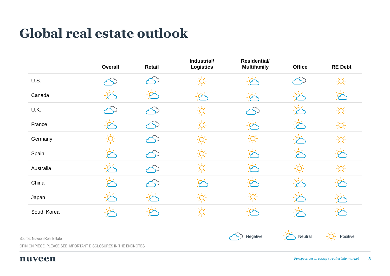### **Global real estate outlook**

|             | Overall | Retail | Industrial/<br><b>Logistics</b> | <b>Residential/</b><br><b>Multifamily</b> | <b>Office</b> | <b>RE Debt</b> |
|-------------|---------|--------|---------------------------------|-------------------------------------------|---------------|----------------|
| U.S.        |         |        |                                 |                                           |               |                |
| Canada      |         |        |                                 |                                           |               |                |
| U.K.        |         |        |                                 |                                           |               |                |
| France      |         |        |                                 |                                           |               |                |
| Germany     |         |        |                                 |                                           |               |                |
| Spain       |         |        |                                 |                                           |               |                |
| Australia   |         |        |                                 |                                           |               |                |
| China       |         |        |                                 |                                           |               |                |
| Japan       |         |        |                                 |                                           |               |                |
| South Korea |         |        |                                 |                                           |               |                |

Source: Nuveen Real Estate

Negative  $-\overbrace{ }$  Neutral  $-\overbrace{ }$  Positive

OPINION PIECE. PLEASE SEE IMPORTANT DISCLOSURES IN THE ENDNOTES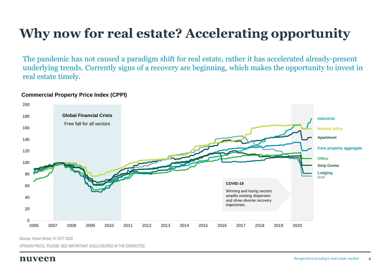## **Why now for real estate? Accelerating opportunity**

The pandemic has not caused a paradigm shift for real estate, rather it has accelerated already-present underlying trends. Currently signs of a recovery are beginning, which makes the opportunity to invest in real estate timely.

#### **Commercial Property Price Index (CPPI)**



Source: Green Street, 01 OCT 2020

OPINION PIECE. PLEASE SEE IMPORTANT DISCLOSURES IN THE ENDNOTES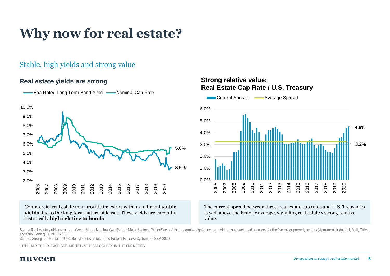### **Why now for real estate?**

#### Stable, high yields and strong value

#### **Real estate yields are strong**



Baa Rated Long Term Bond Yield — Nominal Cap Rate

#### Commercial real estate may provide investors with tax-efficient **stable yields** due to the long term nature of leases. These yields are currently historically **high relative to bonds**.

#### **Strong relative value: Real Estate Cap Rate / U.S. Treasury**



The current spread between direct real estate cap rates and U.S. Treasuries is well above the historic average, signaling real estate's strong relative value.

Source Real estate vields are strong: Green Street; Nominal Cap Rate of Major Sectors. "Major Sectors" is the equal-weighted average of the asset-weighted averages for the five major property sectors (Apartment, Industrial and Strip Center). 01 NOV 2020 Source: Strong relative value: U.S. Board of Governors of the Federal Reserve System. 30 SEP 2020

OPINION PIECE. PLEASE SEE IMPORTANT DISCLOSURES IN THE ENDNOTES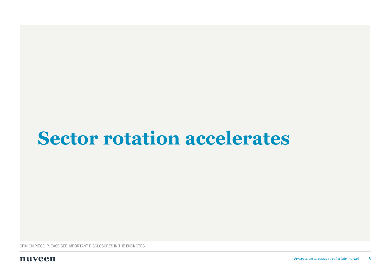## **Sector rotation accelerates**

OPINION PIECE. PLEASE SEE IMPORTANT DISCLOSURES IN THE ENDNOTES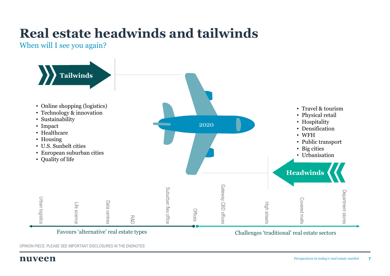## **Real estate headwinds and tailwinds**

When will I see you again?

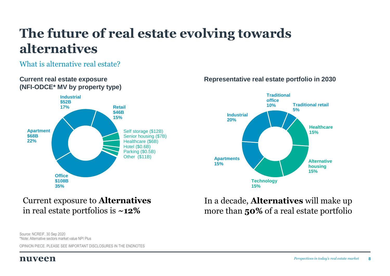### **The future of real estate evolving towards alternatives**

#### What is alternative real estate?



#### **Current real estate exposure** *Representative real estate portfolio in 2030*



In a decade, **Alternatives** will make up

more than **50%** of a real estate portfolio

### Current exposure to **Alternatives** in real estate portfolios is **~12%**

Source: NCREIF, 30 Sep 2020 \*Note: Alternative sectors market value NPI Plus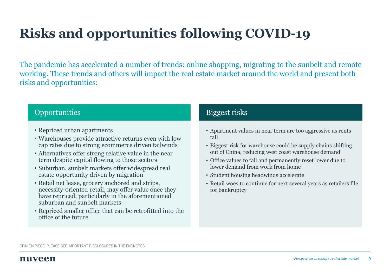## **Risks and opportunities following COVID-19**

The pandemic has accelerated a number of trends: online shopping, migrating to the sunbelt and remote working. These trends and others will impact the real estate market around the world and present both risks and opportunities:

#### Opportunities and the contract of the Biggest risks

- Repriced urban apartments
- Warehouses provide attractive returns even with low cap rates due to strong ecommerce driven tailwinds
- Alternatives offer strong relative value in the near term despite capital flowing to those sectors
- Suburban, sunbelt markets offer widespread real estate opportunity driven by migration
- Retail net lease, grocery anchored and strips, necessity-oriented retail, may offer value once they have repriced, particularly in the aforementioned suburban and sunbelt markets
- Repriced smaller office that can be retrofitted into the office of the future

- Apartment values in near term are too aggressive as rents fall
- Biggest risk for warehouse could be supply chains shifting out of China, reducing west coast warehouse demand
- Office values to fall and permanently reset lower due to lower demand from work from home
- Student housing headwinds accelerate
- Retail woes to continue for next several years as retailers file for bankruptcy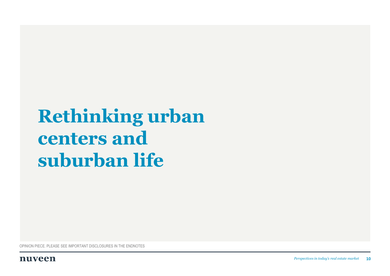## **Rethinking urban centers and suburban life**

OPINION PIECE. PLEASE SEE IMPORTANT DISCLOSURES IN THE ENDNOTES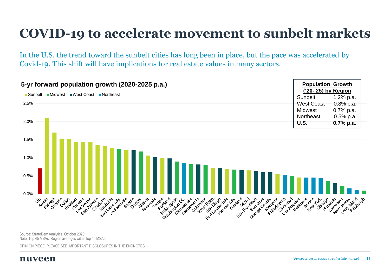### **COVID-19 to accelerate movement to sunbelt markets**

In the U.S. the trend toward the sunbelt cities has long been in place, but the pace was accelerated by Covid-19. This shift will have implications for real estate values in many sectors.

| 5-yr forward population growth (2020-2025 p.a.)                                                                                                                                                                                                                                                                                                                                                        | <b>Population Growth</b><br>('20-'25) by Region |                                  |
|--------------------------------------------------------------------------------------------------------------------------------------------------------------------------------------------------------------------------------------------------------------------------------------------------------------------------------------------------------------------------------------------------------|-------------------------------------------------|----------------------------------|
| ■ Midwest ■ West Coast<br>■ Sunbelt<br>■Northeast                                                                                                                                                                                                                                                                                                                                                      | Sunbelt                                         | 1.2% p.a.                        |
| 2.5%                                                                                                                                                                                                                                                                                                                                                                                                   | <b>West Coast</b>                               | $0.8\%$ p.a.                     |
|                                                                                                                                                                                                                                                                                                                                                                                                        | Midwest                                         | 0.7% p.a.                        |
|                                                                                                                                                                                                                                                                                                                                                                                                        | Northeast                                       | $0.5%$ p.a.                      |
| 2.0%                                                                                                                                                                                                                                                                                                                                                                                                   | <b>U.S.</b>                                     | $0.7%$ p.a.                      |
| 1.5%<br>1.0%<br>0.5%<br>0.0%                                                                                                                                                                                                                                                                                                                                                                           |                                                 |                                  |
| Countable Participes<br>For the younger of Datard<br>Miami<br>Cincinnais<br><b>US vstr ads assets</b><br>Portland<br>Washington DC<br>Phentipse drie<br>Seattle cyclids<br>Atlanta<br>Riverside Tripa<br>Indianapolis<br>Mirneagoils<br>Sacramento<br>Orange Douted<br>Dailas<br>Lagen Artonio<br>Nashijile<br>Jacksonville<br>San Francisco<br><b>Housion</b><br>Progrit<br>Charlote<br>Sattlake City | Los Argaitinore<br>Book of top of our           | Cleveland<br>New York Pittsburgh |

Source: StratoDem Analytics, October 2020 Note: Top 45 MSAs. Region averages within top 45 MSAs.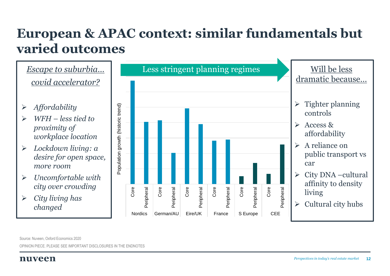### **European & APAC context: similar fundamentals but varied outcomes**



Source: Nuveen, Oxford Economics 2020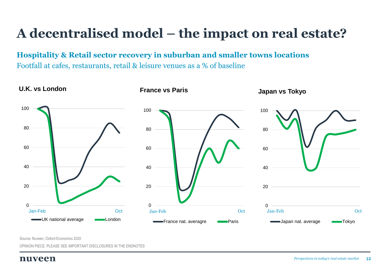### **A decentralised model – the impact on real estate?**

**Hospitality & Retail sector recovery in suburban and smaller towns locations** Footfall at cafes, restaurants, retail & leisure venues as a % of baseline



Source: Nuveen, Oxford Economics 2020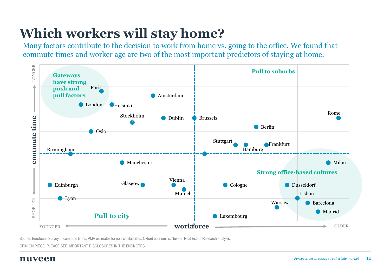### **Which workers will stay home?**

Many factors contribute to the decision to work from home vs. going to the office. We found that commute times and worker age are two of the most important predictors of staying at home.



Source: Eurofound Survey of commute times, PMA estimates for non-capital cities, Oxford economics, Nuveen Real Estate Research analysis.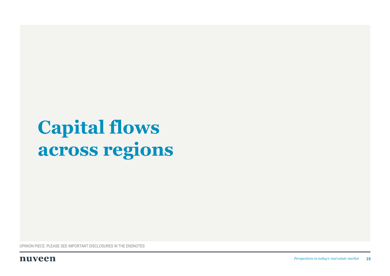## <span id="page-14-0"></span>**Capital flows across regions**

OPINION PIECE. PLEASE SEE IMPORTANT DISCLOSURES IN THE ENDNOTES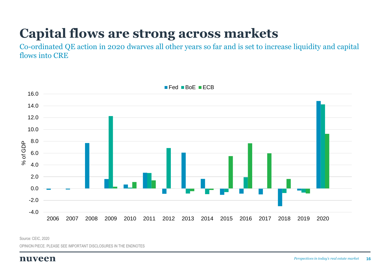### **Capital flows are strong across markets**

Co-ordinated QE action in 2020 dwarves all other years so far and is set to increase liquidity and capital flows into CRE



Source: CEIC, 2020

OPINION PIECE. PLEASE SEE IMPORTANT DISCLOSURES IN THE ENDNOTES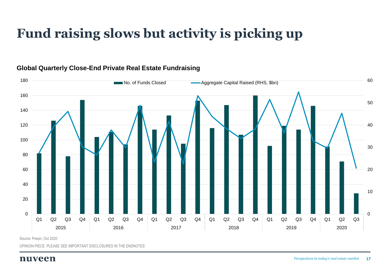### **Fund raising slows but activity is picking up**



#### **Global Quarterly Close-End Private Real Estate Fundraising**

Source: Preqin, Oct 2020

OPINION PIECE. PLEASE SEE IMPORTANT DISCLOSURES IN THE ENDNOTES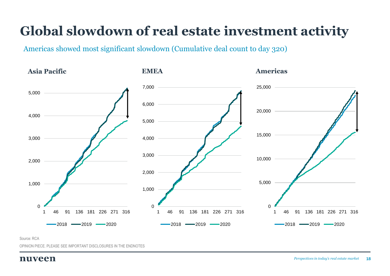### **Global slowdown of real estate investment activity**

Americas showed most significant slowdown (Cumulative deal count to day 320)



Source: RCA

OPINION PIECE. PLEASE SEE IMPORTANT DISCLOSURES IN THE ENDNOTES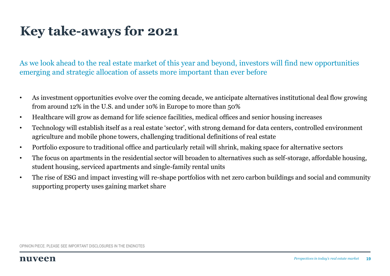### **Key take-aways for 2021**

As we look ahead to the real estate market of this year and beyond, investors will find new opportunities emerging and strategic allocation of assets more important than ever before

- As investment opportunities evolve over the coming decade, we anticipate alternatives institutional deal flow growing from around 12% in the U.S. and under 10% in Europe to more than 50%
- Healthcare will grow as demand for life science facilities, medical offices and senior housing increases
- Technology will establish itself as a real estate 'sector', with strong demand for data centers, controlled environment agriculture and mobile phone towers, challenging traditional definitions of real estate
- Portfolio exposure to traditional office and particularly retail will shrink, making space for alternative sectors
- The focus on apartments in the residential sector will broaden to alternatives such as self-storage, affordable housing, student housing, serviced apartments and single-family rental units
- The rise of ESG and impact investing will re-shape portfolios with net zero carbon buildings and social and community supporting property uses gaining market share